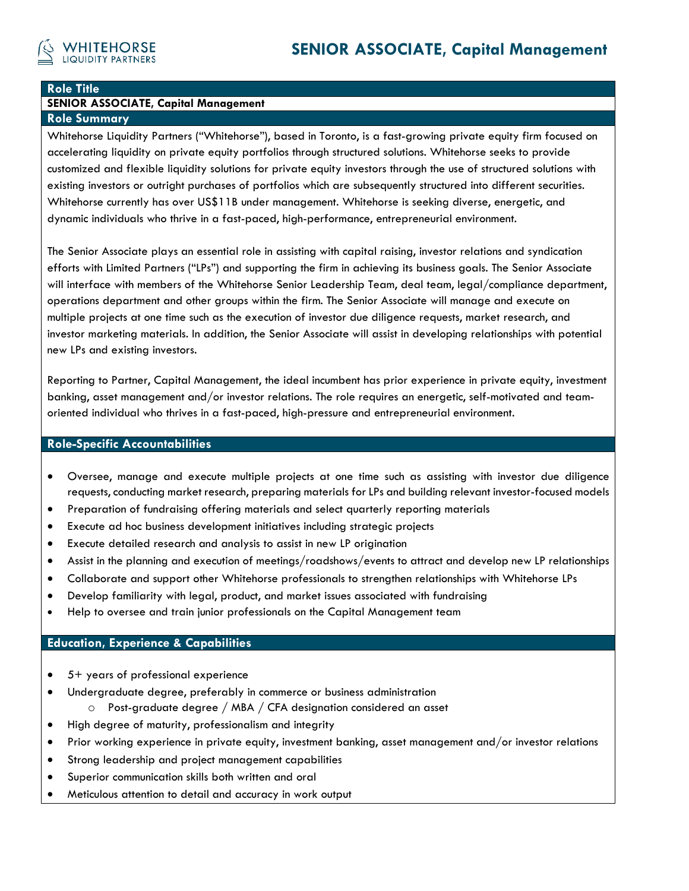

### **Role Title**

# **SENIOR ASSOCIATE, Capital Management**

## **Role Summary**

Whitehorse Liquidity Partners ("Whitehorse"), based in Toronto, is a fast-growing private equity firm focused on accelerating liquidity on private equity portfolios through structured solutions. Whitehorse seeks to provide customized and flexible liquidity solutions for private equity investors through the use of structured solutions with existing investors or outright purchases of portfolios which are subsequently structured into different securities. Whitehorse currently has over US\$11B under management. Whitehorse is seeking diverse, energetic, and dynamic individuals who thrive in a fast-paced, high-performance, entrepreneurial environment.

The Senior Associate plays an essential role in assisting with capital raising, investor relations and syndication efforts with Limited Partners ("LPs") and supporting the firm in achieving its business goals. The Senior Associate will interface with members of the Whitehorse Senior Leadership Team, deal team, legal/compliance department, operations department and other groups within the firm. The Senior Associate will manage and execute on multiple projects at one time such as the execution of investor due diligence requests, market research, and investor marketing materials. In addition, the Senior Associate will assist in developing relationships with potential new LPs and existing investors.

Reporting to Partner, Capital Management, the ideal incumbent has prior experience in private equity, investment banking, asset management and/or investor relations. The role requires an energetic, self-motivated and teamoriented individual who thrives in a fast-paced, high-pressure and entrepreneurial environment.

### **Role-Specific Accountabilities**

- Oversee, manage and execute multiple projects at one time such as assisting with investor due diligence requests, conducting market research, preparing materials for LPs and building relevant investor-focused models
- Preparation of fundraising offering materials and select quarterly reporting materials
- Execute ad hoc business development initiatives including strategic projects
- Execute detailed research and analysis to assist in new LP origination
- Assist in the planning and execution of meetings/roadshows/events to attract and develop new LP relationships
- Collaborate and support other Whitehorse professionals to strengthen relationships with Whitehorse LPs
- Develop familiarity with legal, product, and market issues associated with fundraising
- Help to oversee and train junior professionals on the Capital Management team

## **Education, Experience & Capabilities**

- 5+ years of professional experience
- Undergraduate degree, preferably in commerce or business administration
	- o Post-graduate degree / MBA / CFA designation considered an asset
- High degree of maturity, professionalism and integrity
- Prior working experience in private equity, investment banking, asset management and/or investor relations
- Strong leadership and project management capabilities
- Superior communication skills both written and oral
- Meticulous attention to detail and accuracy in work output